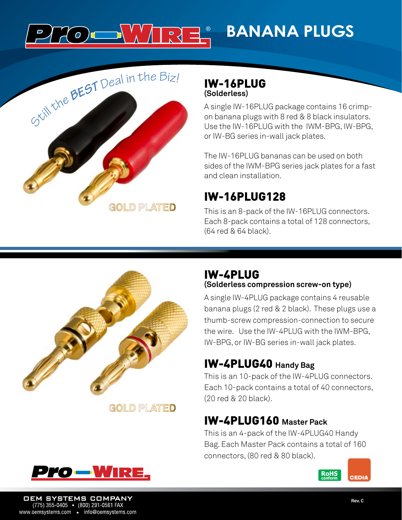### **WARRE BANANA PLUGS**  $O$  ) d



#### IW-16PLUG **(Solderless)**

A single IW-16PLUG package contains 16 crimpon banana plugs with 8 red & 8 black insulators. Use the IW-16PLUG with the IWM-BPG, IW-BPG, or IW-BG series in-wall jack plates.

The IW-16PLUG bananas can be used on both sides of the IWM-BPG series jack plates for a fast and clean installation.

# IW-16PLUG128

This is an 8-pack of the IW-16PLUG connectors. Each 8-pack contains a total of 128 connectors, (64 red & 64 black).



**GOLD PLATED** 

#### IW-4PLUG **(Solderless compression screw-on type)**

A single IW-4PLUG package contains 4 reusable banana plugs (2 red & 2 black). These plugs use a thumb-screw compression-connection to secure the wire. Use the IW-4PLUG with the IWM-BPG, IW-BPG, or IW-BG series in-wall jack plates.

## IW-4PLUG40 **Handy Bag**

This is an 10-pack of the IW-4PLUG connectors. Each 10-pack contains a total of 40 connectors, (20 red & 20 black).

## IW-4PLUG160 **Master Pack**

This is an 4-pack of the IW-4PLUG40 Handy Bag. Each Master Pack contains a total of 160 connectors, (80 red & 80 black).